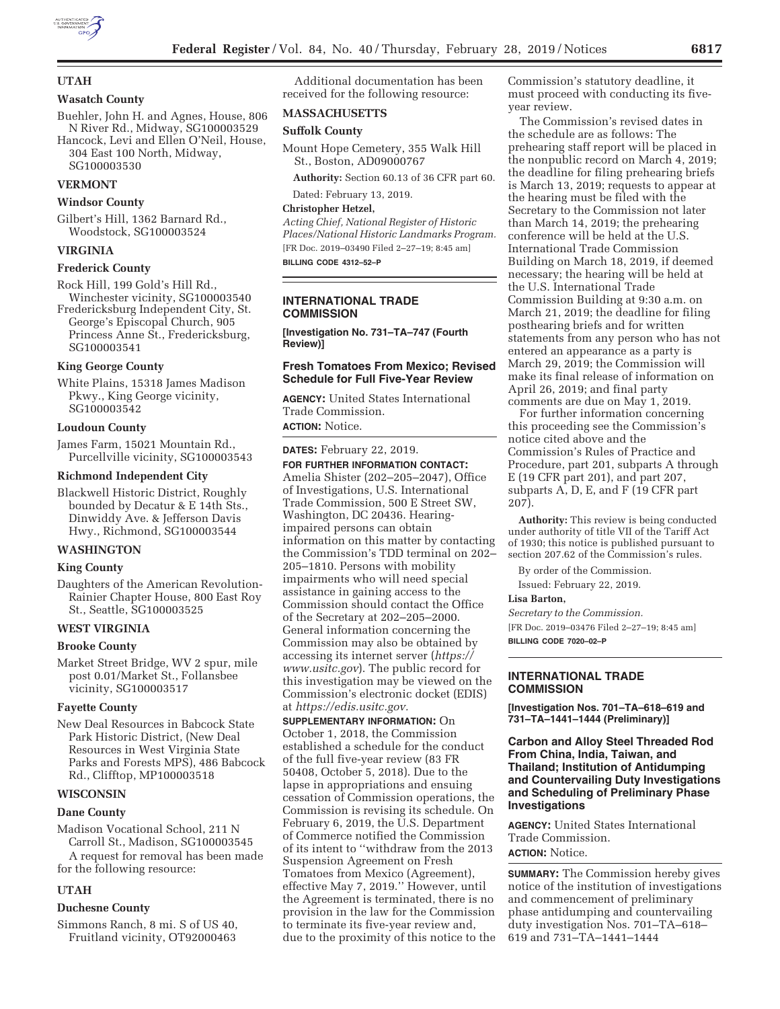

## **UTAH**

## **Wasatch County**

Buehler, John H. and Agnes, House, 806 N River Rd., Midway, SG100003529 Hancock, Levi and Ellen O'Neil, House, 304 East 100 North, Midway,

SG100003530

## **VERMONT**

#### **Windsor County**

Gilbert's Hill, 1362 Barnard Rd., Woodstock, SG100003524

## **VIRGINIA**

### **Frederick County**

Rock Hill, 199 Gold's Hill Rd.,

Winchester vicinity, SG100003540 Fredericksburg Independent City, St. George's Episcopal Church, 905

Princess Anne St., Fredericksburg, SG100003541

## **King George County**

White Plains, 15318 James Madison Pkwy., King George vicinity, SG100003542

#### **Loudoun County**

James Farm, 15021 Mountain Rd., Purcellville vicinity, SG100003543

#### **Richmond Independent City**

Blackwell Historic District, Roughly bounded by Decatur & E 14th Sts., Dinwiddy Ave. & Jefferson Davis Hwy., Richmond, SG100003544

#### **WASHINGTON**

# **King County**

Daughters of the American Revolution-Rainier Chapter House, 800 East Roy St., Seattle, SG100003525

## **WEST VIRGINIA**

#### **Brooke County**

Market Street Bridge, WV 2 spur, mile post 0.01/Market St., Follansbee vicinity, SG100003517

#### **Fayette County**

New Deal Resources in Babcock State Park Historic District, (New Deal Resources in West Virginia State Parks and Forests MPS), 486 Babcock Rd., Clifftop, MP100003518

### **WISCONSIN**

#### **Dane County**

Madison Vocational School, 211 N Carroll St., Madison, SG100003545

A request for removal has been made for the following resource:

## **UTAH**

## **Duchesne County**

Simmons Ranch, 8 mi. S of US 40, Fruitland vicinity, OT92000463

Additional documentation has been received for the following resource:

## **MASSACHUSETTS**

## **Suffolk County**

Mount Hope Cemetery, 355 Walk Hill St., Boston, AD09000767

**Authority:** Section 60.13 of 36 CFR part 60.

Dated: February 13, 2019.

# **Christopher Hetzel,**

*Acting Chief, National Register of Historic Places/National Historic Landmarks Program.*  [FR Doc. 2019–03490 Filed 2–27–19; 8:45 am] **BILLING CODE 4312–52–P** 

## **INTERNATIONAL TRADE COMMISSION**

**[Investigation No. 731–TA–747 (Fourth Review)]** 

### **Fresh Tomatoes From Mexico; Revised Schedule for Full Five-Year Review**

**AGENCY:** United States International Trade Commission. **ACTION:** Notice.

**DATES:** February 22, 2019. **FOR FURTHER INFORMATION CONTACT:**  Amelia Shister (202–205–2047), Office of Investigations, U.S. International Trade Commission, 500 E Street SW, Washington, DC 20436. Hearingimpaired persons can obtain information on this matter by contacting the Commission's TDD terminal on 202– 205–1810. Persons with mobility impairments who will need special assistance in gaining access to the Commission should contact the Office of the Secretary at 202–205–2000. General information concerning the Commission may also be obtained by accessing its internet server (*https:// www.usitc.gov*). The public record for this investigation may be viewed on the Commission's electronic docket (EDIS) at *https://edis.usitc.gov.* 

**SUPPLEMENTARY INFORMATION:** On October 1, 2018, the Commission established a schedule for the conduct of the full five-year review (83 FR 50408, October 5, 2018). Due to the lapse in appropriations and ensuing cessation of Commission operations, the Commission is revising its schedule. On February 6, 2019, the U.S. Department of Commerce notified the Commission of its intent to ''withdraw from the 2013 Suspension Agreement on Fresh Tomatoes from Mexico (Agreement), effective May 7, 2019.'' However, until the Agreement is terminated, there is no provision in the law for the Commission to terminate its five-year review and, due to the proximity of this notice to the Commission's statutory deadline, it must proceed with conducting its fiveyear review.

The Commission's revised dates in the schedule are as follows: The prehearing staff report will be placed in the nonpublic record on March 4, 2019; the deadline for filing prehearing briefs is March 13, 2019; requests to appear at the hearing must be filed with the Secretary to the Commission not later than March 14, 2019; the prehearing conference will be held at the U.S. International Trade Commission Building on March 18, 2019, if deemed necessary; the hearing will be held at the U.S. International Trade Commission Building at 9:30 a.m. on March 21, 2019; the deadline for filing posthearing briefs and for written statements from any person who has not entered an appearance as a party is March 29, 2019; the Commission will make its final release of information on April 26, 2019; and final party comments are due on May 1, 2019.

For further information concerning this proceeding see the Commission's notice cited above and the Commission's Rules of Practice and Procedure, part 201, subparts A through E (19 CFR part 201), and part 207, subparts A, D, E, and F (19 CFR part 207).

**Authority:** This review is being conducted under authority of title VII of the Tariff Act of 1930; this notice is published pursuant to section 207.62 of the Commission's rules.

By order of the Commission.

Issued: February 22, 2019.

## **Lisa Barton,**

*Secretary to the Commission.* 

[FR Doc. 2019–03476 Filed 2–27–19; 8:45 am] **BILLING CODE 7020–02–P** 

### **INTERNATIONAL TRADE COMMISSION**

**[Investigation Nos. 701–TA–618–619 and 731–TA–1441–1444 (Preliminary)]** 

## **Carbon and Alloy Steel Threaded Rod From China, India, Taiwan, and Thailand; Institution of Antidumping and Countervailing Duty Investigations and Scheduling of Preliminary Phase Investigations**

**AGENCY:** United States International Trade Commission. **ACTION:** Notice.

**SUMMARY:** The Commission hereby gives notice of the institution of investigations and commencement of preliminary phase antidumping and countervailing duty investigation Nos. 701–TA–618– 619 and 731–TA–1441–1444